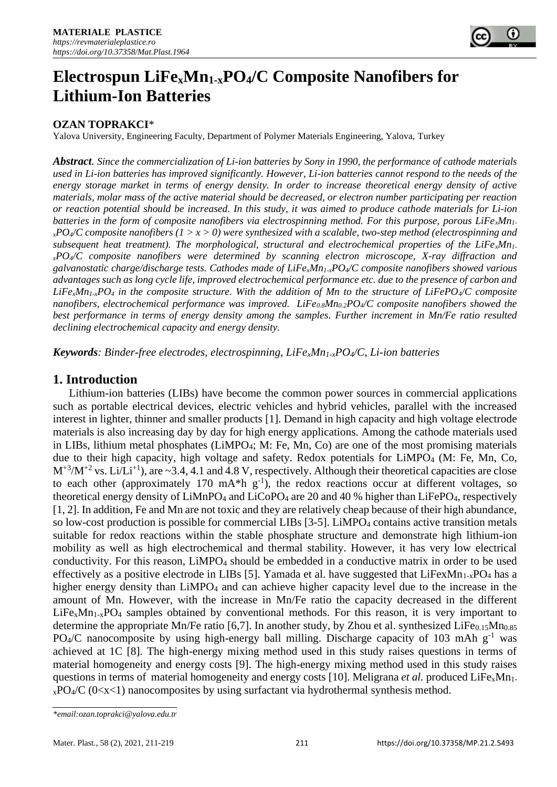

# **Electrospun LiFexMn1-xPO4/C Composite Nanofibers for Lithium-Ion Batteries**

### **OZAN TOPRAKCI**\*

Yalova University, Engineering Faculty, Department of Polymer Materials Engineering, Yalova, Turkey

*Abstract. Since the commercialization of Li-ion batteries by Sony in 1990, the performance of cathode materials used in Li-ion batteries has improved significantly. However, Li-ion batteries cannot respond to the needs of the energy storage market in terms of energy density. In order to increase theoretical energy density of active materials, molar mass of the active material should be decreased, or electron number participating per reaction or reaction potential should be increased. In this study, it was aimed to produce cathode materials for Li-ion batteries in the form of composite nanofibers via electrospinning method. For this purpose, porous LiFexMn1 <sup>x</sup>PO4/C composite nanofibers (1 > x > 0) were synthesized with a scalable, two-step method (electrospinning and subsequent heat treatment). The morphological, structural and electrochemical properties of the LiFexMn1 <sup>x</sup>PO4/C composite nanofibers were determined by scanning electron microscope, X-ray diffraction and galvanostatic charge/discharge tests. Cathodes made of LiFexMn1-xPO4/C composite nanofibers showed various advantages such as long cycle life, improved electrochemical performance etc. due to the presence of carbon and*  LiFe<sub>*x*</sub>*Mn*<sub>1-x</sub>*PO<sub>4</sub>* in the composite structure. With the addition of Mn to the structure of LiFePO<sub>4</sub>/*C* composite *nanofibers, electrochemical performance was improved. LiFe0.8Mn0.2PO4/C composite nanofibers showed the best performance in terms of energy density among the samples. Further increment in Mn/Fe ratio resulted declining electrochemical capacity and energy density.*

*Keywords: Binder-free electrodes, electrospinning, LiFexMn1-xPO4/C, Li-ion batteries*

## **1. Introduction**

Lithium-ion batteries (LIBs) have become the common power sources in commercial applications such as portable electrical devices, electric vehicles and hybrid vehicles, parallel with the increased interest in lighter, thinner and smaller products [1]. Demand in high capacity and high voltage electrode materials is also increasing day by day for high energy applications. Among the cathode materials used in LIBs, lithium metal phosphates (LiMPO4; M: Fe, Mn, Co) are one of the most promising materials due to their high capacity, high voltage and safety. Redox potentials for LiMPO<sub>4</sub> (M: Fe, Mn, Co,  $M^{+3}/M^{+2}$  vs. Li/Li<sup>+1</sup>), are ~3.4, 4.1 and 4.8 V, respectively. Although their theoretical capacities are close to each other (approximately 170 mA\*h  $g^{-1}$ ), the redox reactions occur at different voltages, so theoretical energy density of  $LiMnPO_4$  and  $LiCoPO_4$  are 20 and 40 % higher than  $LiFePO_4$ , respectively [1, 2]. In addition, Fe and Mn are not toxic and they are relatively cheap because of their high abundance, so low-cost production is possible for commercial LIBs  $[3-5]$ . LiMPO<sub>4</sub> contains active transition metals suitable for redox reactions within the stable phosphate structure and demonstrate high lithium-ion mobility as well as high electrochemical and thermal stability. However, it has very low electrical conductivity. For this reason, LiMPO<sup>4</sup> should be embedded in a conductive matrix in order to be used effectively as a positive electrode in LIBs [5]. Yamada et al. have suggested that  $LiFexMn<sub>1-x</sub>PO<sub>4</sub>$  has a higher energy density than LiMPO<sub>4</sub> and can achieve higher capacity level due to the increase in the amount of Mn. However, with the increase in Mn/Fe ratio the capacity decreased in the different  $LiFe<sub>x</sub>Mn<sub>1-x</sub>PO<sub>4</sub>$  samples obtained by conventional methods. For this reason, it is very important to determine the appropriate Mn/Fe ratio [6,7]. In another study, by Zhou et al. synthesized LiFe $_{0.15}$ Mn $_{0.85}$ PO<sub>4</sub>/C nanocomposite by using high-energy ball milling. Discharge capacity of 103 mAh  $g^{-1}$  was achieved at 1C [8]. The high-energy mixing method used in this study raises questions in terms of material homogeneity and energy costs [9]. The high-energy mixing method used in this study raises questions in terms of material homogeneity and energy costs [10]. Meligrana *et al.* produced LiFe<sub>x</sub>Mn<sub>1</sub>.  $xPO4/C$  (0<x<1) nanocomposites by using surfactant via hydrothermal synthesis method.

*<sup>\*</sup>email:ozan.toprakci@yalova.edu.tr*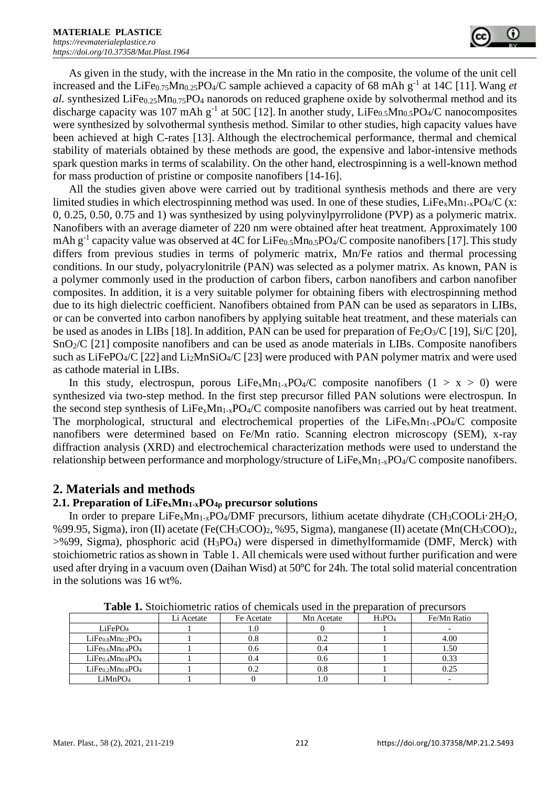

As given in the study, with the increase in the Mn ratio in the composite, the volume of the unit cell increased and the LiFe $_{0.75}$ Mn $_{0.25}$ PO<sub>4</sub>/C sample achieved a capacity of 68 mAh g<sup>-1</sup> at 14C [11]. Wang *et al.* synthesized LiFe<sub>0.25</sub>Mn<sub>0.75</sub>PO<sub>4</sub> nanorods on reduced graphene oxide by solvothermal method and its discharge capacity was 107 mAh  $g^{-1}$  at 50C [12]. In another study, LiFe<sub>0.5</sub>Mn<sub>0.5</sub>PO<sub>4</sub>/C nanocomposites were synthesized by solvothermal synthesis method. Similar to other studies, high capacity values have been achieved at high C-rates [13]. Although the electrochemical performance, thermal and chemical stability of materials obtained by these methods are good, the expensive and labor-intensive methods spark question marks in terms of scalability. On the other hand, electrospinning is a well-known method for mass production of pristine or composite nanofibers [14-16].

All the studies given above were carried out by traditional synthesis methods and there are very limited studies in which electrospinning method was used. In one of these studies,  $LiFe_xMn_{1-x}PO_4/C$  (x: 0, 0.25, 0.50, 0.75 and 1) was synthesized by using polyvinylpyrrolidone (PVP) as a polymeric matrix. Nanofibers with an average diameter of 220 nm were obtained after heat treatment. Approximately 100 mAh g<sup>-1</sup> capacity value was observed at 4C for LiFe<sub>0.5</sub>Mn<sub>0.5</sub>PO<sub>4</sub>/C composite nanofibers [17]. This study differs from previous studies in terms of polymeric matrix, Mn/Fe ratios and thermal processing conditions. In our study, polyacrylonitrile (PAN) was selected as a polymer matrix. As known, PAN is a polymer commonly used in the production of carbon fibers, carbon nanofibers and carbon nanofiber composites. In addition, it is a very suitable polymer for obtaining fibers with electrospinning method due to its high dielectric coefficient. Nanofibers obtained from PAN can be used as separators in LIBs, or can be converted into carbon nanofibers by applying suitable heat treatment, and these materials can be used as anodes in LIBs [18]. In addition, PAN can be used for preparation of Fe<sub>2</sub>O<sub>3</sub>/C [19], Si/C [20], SnO2/C [21] composite nanofibers and can be used as anode materials in LIBs. Composite nanofibers such as LiFePO<sub>4</sub>/C [22] and Li<sub>2</sub>MnSiO<sub>4</sub>/C [23] were produced with PAN polymer matrix and were used as cathode material in LIBs.

In this study, electrospun, porous LiFe<sub>x</sub>Mn<sub>1-x</sub>PO<sub>4</sub>/C composite nanofibers (1 > x > 0) were synthesized via two-step method. In the first step precursor filled PAN solutions were electrospun. In the second step synthesis of  $LiFe<sub>x</sub>Mn<sub>1-x</sub>PO<sub>4</sub>/C$  composite nanofibers was carried out by heat treatment. The morphological, structural and electrochemical properties of the  $LiFe<sub>x</sub>Mn<sub>1-x</sub>PO<sub>4</sub>/C$  composite nanofibers were determined based on Fe/Mn ratio. Scanning electron microscopy (SEM), x-ray diffraction analysis (XRD) and electrochemical characterization methods were used to understand the relationship between performance and morphology/structure of LiFexMn1-xPO4/C composite nanofibers.

### **2. Materials and methods**

#### **2.1. Preparation of LiFexMn1-xPO4p precursor solutions**

In order to prepare LiFe<sub>x</sub>Mn<sub>1-x</sub>PO<sub>4</sub>/DMF precursors, lithium acetate dihydrate (CH<sub>3</sub>COOLi·2H<sub>2</sub>O, %99.95, Sigma), iron (II) acetate (Fe(CH3COO)2, %95, Sigma), manganese (II) acetate (Mn(CH3COO)2, >%99, Sigma), phosphoric acid (H3PO4) were dispersed in dimethylformamide (DMF, Merck) with stoichiometric ratios as shown in Table 1. All chemicals were used without further [purification](https://www.sciencedirect.com/topics/engineering/purification) and were used after drying in a vacuum oven (Daihan Wisd) at 50℃ for 24h. The total solid material concentration in the solutions was 16 wt%.

| THEIR TO PROTEIN HIS THEOD OF CHAINGHOUGH HIS DEPOMATION OF PROGRAMMENT PARTIES. |            |            |            |           |             |  |  |  |  |  |
|----------------------------------------------------------------------------------|------------|------------|------------|-----------|-------------|--|--|--|--|--|
|                                                                                  | Li Acetate | Fe Acetate | Mn Acetate | $H_3PO_4$ | Fe/Mn Ratio |  |  |  |  |  |
| LiFePO <sub>4</sub>                                                              |            |            |            |           |             |  |  |  |  |  |
| $LiFe0.8Mn0.2PO4$                                                                |            | U.8        |            |           | 4.00        |  |  |  |  |  |
| $LiFe0.6Mn0.4PO4$                                                                |            | U.O        | 0.4        |           | 1.50        |  |  |  |  |  |
| $LiFe0.4Mn0.6PO4$                                                                |            |            | 0.6        |           | 0.33        |  |  |  |  |  |
| $LiFe0.2Mn0.8PO4$                                                                |            | v.∠        | 0.8        |           | 0.25        |  |  |  |  |  |
| LiMnPO <sub>4</sub>                                                              |            |            |            |           |             |  |  |  |  |  |

**Table 1.** Stoichiometric ratios of chemicals used in the preparation of precursors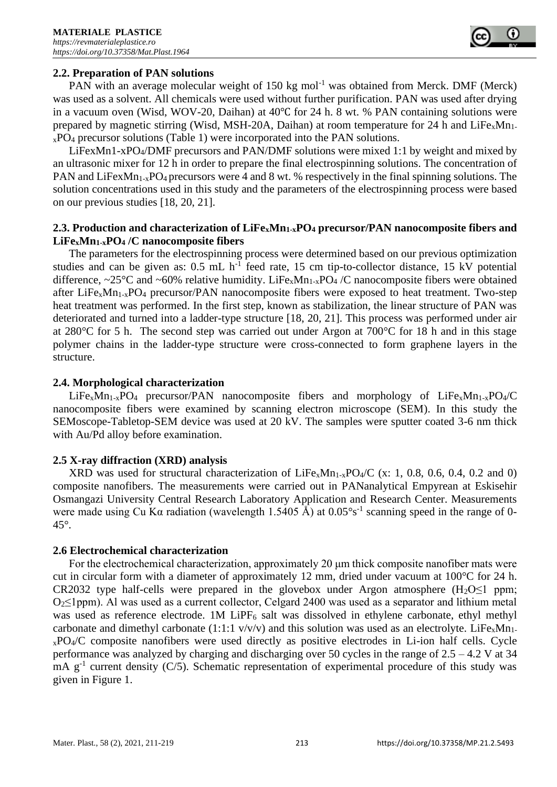

#### **2.2. Preparation of PAN solutions**

PAN with an average molecular weight of 150 kg mol<sup>-1</sup> was obtained from Merck. DMF (Merck) was used as a solvent. All chemicals were used without further purification. PAN was used after drying in a vacuum oven (Wisd, WOV-20, Daihan) at 40℃ for 24 h. 8 wt. % PAN containing solutions were prepared by magnetic stirring (Wisd, MSH-20A, Daihan) at room temperature for 24 h and  $LiFe<sub>x</sub>Mn<sub>1</sub>$  $xPO_4$  precursor solutions (Table 1) were incorporated into the PAN solutions.

LiFexMn1-xPO4/DMF precursors and PAN/DMF solutions were mixed 1:1 by weight and mixed by an ultrasonic mixer for 12 h in order to prepare the final electrospinning solutions. The concentration of PAN and LiFexMn<sub>1-x</sub>PO<sub>4</sub> precursors were 4 and 8 wt. % respectively in the final spinning solutions. The solution concentrations used in this study and the parameters of the electrospinning process were based on our previous studies [18, 20, 21].

#### **2.3. Production and characterization of LiFexMn1-xPO<sup>4</sup> precursor/PAN nanocomposite fibers and LiFexMn1-xPO<sup>4</sup> /C nanocomposite fibers**

The parameters for the electrospinning process were determined based on our previous optimization studies and can be given as:  $0.5$  mL  $h^{-1}$  feed rate, 15 cm tip-to-collector distance, 15 kV potential difference, ~25°C and ~60% relative humidity. LiFe<sub>x</sub>Mn<sub>1-x</sub>PO<sub>4</sub> /C nanocomposite fibers were obtained after LiFe<sub>x</sub>Mn<sub>1-x</sub>PO<sub>4</sub> precursor/PAN nanocomposite fibers were exposed to heat treatment. Two-step heat treatment was performed. In the first step, known as stabilization, the linear structure of PAN was deteriorated and turned into a ladder-type structure [18, 20, 21]. This process was performed under air at 280°C for 5 h. The second step was carried out under Argon at 700°C for 18 h and in this stage polymer chains in the ladder-type structure were cross-connected to form graphene layers in the structure.

#### **2.4. Morphological characterization**

 $LiFe<sub>x</sub>Mn<sub>1-x</sub>PO<sub>4</sub> precursor/PAN nanocomposite fibers and morphology of LiFe<sub>x</sub>Mn<sub>1-x</sub>PO<sub>4</sub>/C$ nanocomposite fibers were examined by scanning electron microscope (SEM). In this study the SEMoscope-Tabletop-SEM device was used at 20 kV. The samples were sputter coated 3-6 nm thick with Au/Pd alloy before examination.

#### **2.5 X-ray diffraction (XRD) analysis**

XRD was used for structural characterization of  $LiFe<sub>x</sub>Mn<sub>1-x</sub>PO<sub>4</sub>/C$  (x: 1, 0.8, 0.6, 0.4, 0.2 and 0) composite nanofibers. The measurements were carried out in PANanalytical Empyrean at Eskisehir Osmangazi University Central Research Laboratory Application and Research Center. Measurements were made using Cu K $\alpha$  radiation (wavelength 1.5405 Å) at 0.05°s<sup>-1</sup> scanning speed in the range of 0-45°.

#### **2.6 Electrochemical characterization**

For the electrochemical characterization, approximately 20 μm thick composite nanofiber mats were cut in circular form with a diameter of approximately 12 mm, dried under vacuum at 100°C for 24 h. CR2032 type half-cells were prepared in the glovebox under Argon atmosphere  $(H_2O \le 1$  ppm; O2≤1ppm). Al was used as a current collector, Celgard 2400 was used as a separator and lithium metal was used as reference electrode. 1M LiPF $_6$  salt was dissolved in ethylene carbonate, ethyl methyl carbonate and dimethyl carbonate (1:1:1  $v/v/v$ ) and this solution was used as an electrolyte. LiFe<sub>x</sub>Mn<sub>1</sub>. <sup>x</sup>PO4/C composite nanofibers were used directly as positive electrodes in Li-ion half cells. Cycle performance was analyzed by charging and discharging over 50 cycles in the range of 2.5 – 4.2 V at 34  $\text{mA } g^{-1}$  current density (C/5). Schematic representation of experimental procedure of this study was given in Figure 1.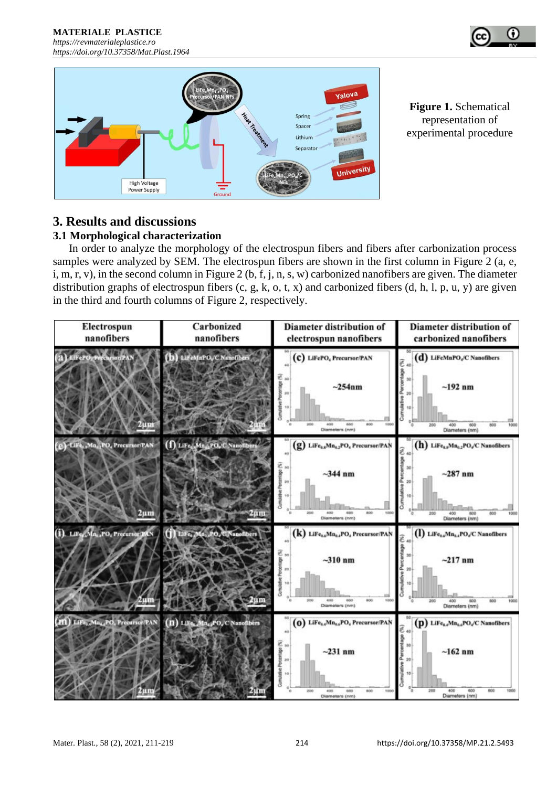



**Figure 1.** Schematical representation of experimental procedure

### **3. Results and discussions 3.1 Morphological characterization**

In order to analyze the morphology of the electrospun fibers and fibers after carbonization process samples were analyzed by SEM. The electrospun fibers are shown in the first column in Figure 2 (a, e, i, m, r, v), in the second column in Figure 2 (b, f, j, n, s, w) carbonized nanofibers are given. The diameter distribution graphs of electrospun fibers (c, g, k, o, t, x) and carbonized fibers (d, h, l, p, u, y) are given in the third and fourth columns of Figure 2, respectively.

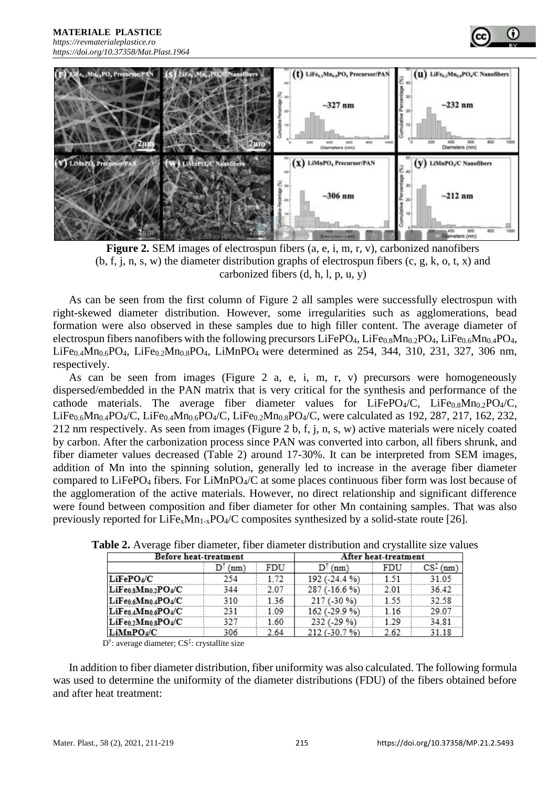**MATERIALE PLASTICE** 

#### *[https://revmaterialeplastice.ro](https://revmaterialeplastice.ro/) https://doi.org/10.37358/Mat.Plast.1964*



**Figure 2.** SEM images of electrospun fibers (a, e, i, m, r, v), carbonized nanofibers  $(b, f, i, n, s, w)$  the diameter distribution graphs of electrospun fibers  $(c, g, k, o, t, x)$  and carbonized fibers  $(d, h, l, p, u, y)$ 

As can be seen from the first column of Figure 2 all samples were successfully electrospun with right-skewed diameter distribution. However, some irregularities such as agglomerations, bead formation were also observed in these samples due to high filler content. The average diameter of electrospun fibers nanofibers with the following precursors LiFePO<sub>4</sub>, LiFe<sub>0.8</sub>Mn<sub>0.2</sub>PO<sub>4</sub>, LiFe<sub>0.6</sub>Mn<sub>0.4</sub>PO<sub>4</sub>, LiFe<sub>0.4</sub>Mn<sub>0.6</sub>PO<sub>4</sub>, LiFe<sub>0.2</sub>Mn<sub>0.8</sub>PO<sub>4</sub>, LiMnPO<sub>4</sub> were determined as 254, 344, 310, 231, 327, 306 nm, respectively.

As can be seen from images (Figure 2 a, e, i, m, r, v) precursors were homogeneously dispersed/embedded in the PAN matrix that is very critical for the synthesis and performance of the cathode materials. The average fiber diameter values for  $LiFePO<sub>4</sub>/C$ ,  $LiFe<sub>0.8</sub>Mn<sub>0.2</sub>PO<sub>4</sub>/C$ ,  $LiFe_{0.6}Mn_{0.4}PO_4/C$ ,  $LiFe_{0.4}Mn_{0.6}PO_4/C$ ,  $LiFe_{0.2}Mn_{0.8}PO_4/C$ , were calculated as 192, 287, 217, 162, 232, 212 nm respectively. As seen from images (Figure 2 b, f, j, n, s, w) active materials were nicely coated by carbon. After the carbonization process since PAN was converted into carbon, all fibers shrunk, and fiber diameter values decreased (Table 2) around 17-30%. It can be interpreted from SEM images, addition of Mn into the spinning solution, generally led to increase in the average fiber diameter compared to LiFePO<sup>4</sup> fibers. For LiMnPO4/C at some places continuous fiber form was lost because of the agglomeration of the active materials. However, no direct relationship and significant difference were found between composition and fiber diameter for other Mn containing samples. That was also previously reported for  $LiFe<sub>x</sub>Mn<sub>1-x</sub>PO<sub>4</sub>/C$  composites synthesized by a solid-state route [26].

| Before heat-treatment | After heat-treatment |      |               |      |            |
|-----------------------|----------------------|------|---------------|------|------------|
|                       | DI<br>(nm)           | FDU  | $D^{T}(nm)$   | FDU  | $CS1$ (nm) |
| $LiFePO_4/C$          | 254                  | 1.72 | 192 (-24.4 %) | 1.51 | 31.05      |
| $LiFe0.8Mn0.2PO4/C$   | 344                  | 2.07 | 287 (-16.6 %) | 2.01 | 36.42      |
| $LiFe0.6Mn0.4PO4/C$   | 310                  | 1.36 | 217 (-30 %)   | 1.55 | 32.58      |
| $LiFe0.4Mn0.6PO4/C$   | 231                  | 1.09 | 162 (-29.9 %) | 1.16 | 29.07      |
| $LiFe0.2Mn0.8PO4/C$   | 327                  | 1.60 | 232 (-29 %)   | 1.29 | 34.81      |
| LiMnPO4/C             | 306                  | 2.64 | 212 (-30.7 %) | 2.62 | 31.18      |

**Table 2.** Average fiber diameter, fiber diameter distribution and crystallite size values

D<sup>†</sup>: average diameter; CS<sup>‡</sup>: crystallite size

In addition to fiber diameter distribution, fiber uniformity was also calculated. The following formula was used to determine the uniformity of the diameter distributions (FDU) of the fibers obtained before and after heat treatment: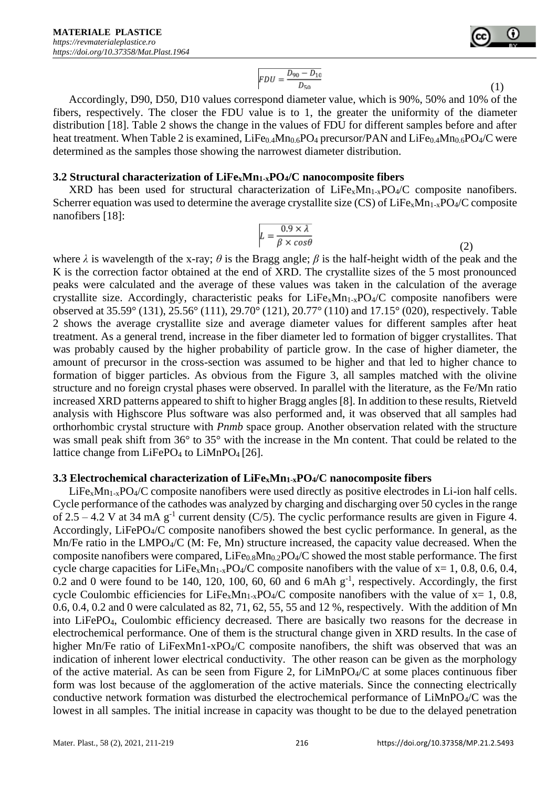

$$
FDU = \frac{D_{90} - D_{10}}{D_{50}}\tag{1}
$$

Accordingly, D90, D50, D10 values correspond diameter value, which is 90%, 50% and 10% of the fibers, respectively. The closer the FDU value is to 1, the greater the uniformity of the diameter distribution [18]. Table 2 shows the change in the values of FDU for different samples before and after heat treatment. When Table 2 is examined,  $LiFe<sub>0.4</sub>Mn<sub>0.6</sub>PO<sub>4</sub>$  precursor/PAN and  $LiFe<sub>0.4</sub>Mn<sub>0.6</sub>PO<sub>4</sub>/C$  were determined as the samples those showing the narrowest diameter distribution.

#### **3.2 Structural characterization of LiFexMn1-xPO4/C nanocomposite fibers**

XRD has been used for structural characterization of  $LiFe<sub>x</sub>Mn<sub>1-x</sub>PO<sub>4</sub>/C$  composite nanofibers. Scherrer equation was used to determine the average crystallite size  $(CS)$  of LiFe<sub>x</sub>Mn<sub>1-x</sub>PO<sub>4</sub>/C composite nanofibers [18]:

$$
L = \frac{0.9 \times \lambda}{\beta \times \cos \theta} \tag{2}
$$

where  $\lambda$  is wavelength of the x-ray;  $\theta$  is the Bragg angle;  $\beta$  is the half-height width of the peak and the K is the correction factor obtained at the end of XRD. The crystallite sizes of the 5 most pronounced peaks were calculated and the average of these values was taken in the calculation of the average crystallite size. Accordingly, characteristic peaks for  $LiFe<sub>x</sub>Mn<sub>1-x</sub>PO<sub>4</sub>/C$  composite nanofibers were observed at 35.59° (131), 25.56° (111), 29.70° (121), 20.77° (110) and 17.15° (020), respectively. Table 2 shows the average crystallite size and average diameter values for different samples after heat treatment. As a general trend, increase in the fiber diameter led to formation of bigger crystallites. That was probably caused by the higher probability of particle grow. In the case of higher diameter, the amount of precursor in the cross-section was assumed to be higher and that led to higher chance to formation of bigger particles. As obvious from the Figure 3, all samples matched with the olivine structure and no foreign crystal phases were observed. In parallel with the literature, as the Fe/Mn ratio increased XRD patterns appeared to shift to higher Bragg angles [8]. In addition to these results, Rietveld analysis with Highscore Plus software was also performed and, it was observed that all samples had orthorhombic crystal structure with *Pnmb* space group. Another observation related with the structure was small peak shift from 36° to 35° with the increase in the Mn content. That could be related to the lattice change from LiFePO<sub>4</sub> to LiMnPO<sub>4</sub> [26].

#### **3.3 Electrochemical characterization of LiFexMn1-xPO4/C nanocomposite fibers**

 $LiFe<sub>x</sub>Mn<sub>1-x</sub>PO<sub>4</sub>/C$  composite nanofibers were used directly as positive electrodes in Li-ion half cells. Cycle performance of the cathodes was analyzed by charging and discharging over 50 cycles in the range of 2.5 – 4.2 V at 34 mA  $g^{-1}$  current density (C/5). The cyclic performance results are given in Figure 4. Accordingly, LiFePO<sub>4</sub>/C composite nanofibers showed the best cyclic performance. In general, as the  $Mn/Fe$  ratio in the  $LMPO_4/C$  (M: Fe, Mn) structure increased, the capacity value decreased. When the composite nanofibers were compared, LiFe<sub>0.8</sub>Mn<sub>0.2</sub>PO<sub>4</sub>/C showed the most stable performance. The first cycle charge capacities for LiFe<sub>x</sub>Mn<sub>1-x</sub>PO<sub>4</sub>/C composite nanofibers with the value of  $x= 1, 0.8, 0.6, 0.4$ ,  $0.2$  and 0 were found to be 140, 120, 100, 60, 60 and 6 mAh  $g^{-1}$ , respectively. Accordingly, the first cycle Coulombic efficiencies for LiFe<sub>x</sub>Mn<sub>1-x</sub>PO<sub>4</sub>/C composite nanofibers with the value of  $x=1, 0.8$ , 0.6, 0.4, 0.2 and 0 were calculated as 82, 71, 62, 55, 55 and 12 %, respectively. With the addition of Mn into LiFePO4, Coulombic efficiency decreased. There are basically two reasons for the decrease in electrochemical performance. One of them is the structural change given in XRD results. In the case of higher Mn/Fe ratio of LiFexMn1-xPO<sub>4</sub>/C composite nanofibers, the shift was observed that was an indication of inherent lower electrical conductivity. The other reason can be given as the morphology of the active material. As can be seen from Figure 2, for  $LiMnPO4/C$  at some places continuous fiber form was lost because of the agglomeration of the active materials. Since the connecting electrically conductive network formation was disturbed the electrochemical performance of LiMnPO4/C was the lowest in all samples. The initial increase in capacity was thought to be due to the delayed penetration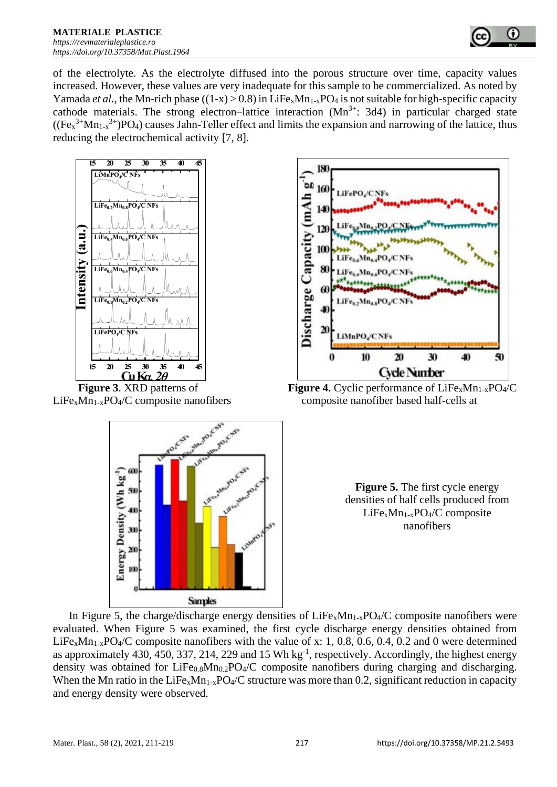

of the electrolyte. As the electrolyte diffused into the porous structure over time, capacity values increased. However, these values are very inadequate for this sample to be commercialized. As noted by Yamada *et al.*, the Mn-rich phase  $((1-x) > 0.8)$  in LiFe<sub>x</sub>Mn<sub>1-x</sub>PO<sub>4</sub> is not suitable for high-specific capacity cathode materials. The strong electron–lattice interaction  $(Mn^{3+})$ : 3d4) in particular charged state  $((Fe<sub>x</sub><sup>3+</sup>Mn<sub>1-x</sub><sup>3+</sup>)PO<sub>4</sub>)$  causes Jahn-Teller effect and limits the expansion and narrowing of the lattice, thus reducing the electrochemical activity [7, 8].



Energy Density (Wh kg 30

 $20$ 



**Figure 3**. XRD patterns of **Figure 4.** Cyclic performance of LiFe<sub>x</sub>Mn<sub>1-x</sub>PO<sub>4</sub>/C  $LiFe<sub>x</sub>Mn<sub>1-x</sub>PO<sub>4</sub>/C$  composite nanofibers composite nanofiber based half-cells at



**Samples** In Figure 5, the charge/discharge energy densities of  $LiFe_xMn_{1-x}PO4/C$  composite nanofibers were evaluated. When Figure 5 was examined, the first cycle discharge energy densities obtained from LiFe<sub>x</sub>Mn<sub>1-x</sub>PO<sub>4</sub>/C composite nanofibers with the value of x: 1, 0.8, 0.6, 0.4, 0.2 and 0 were determined as approximately 430, 450, 337, 214, 229 and 15 Wh kg<sup>-1</sup>, respectively. Accordingly, the highest energy density was obtained for  $LiFe<sub>0.8</sub>Mn<sub>0.2</sub>PO<sub>4</sub>/C$  composite nanofibers during charging and discharging. When the Mn ratio in the LiFe<sub>x</sub>Mn<sub>1-x</sub>PO<sub>4</sub>/C structure was more than 0.2, significant reduction in capacity and energy density were observed.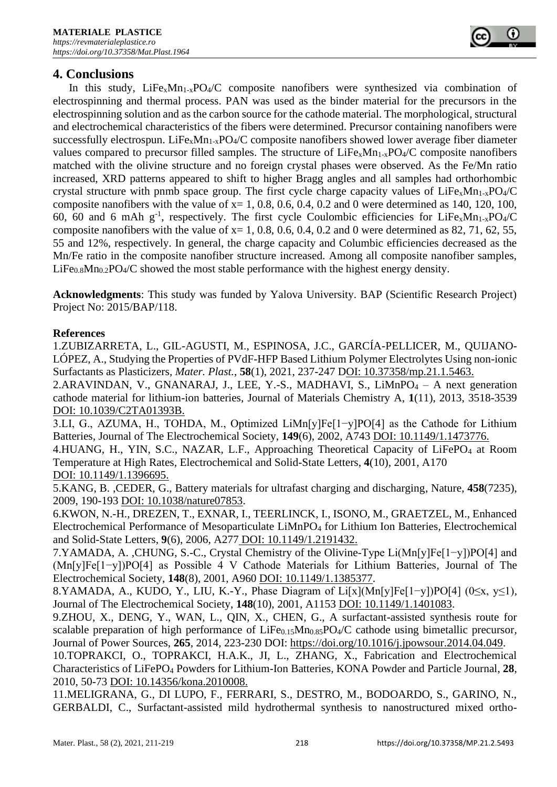# **4. Conclusions**

In this study,  $LiFe<sub>x</sub>Mn<sub>1-x</sub>PO<sub>4</sub>/C$  composite nanofibers were synthesized via combination of electrospinning and thermal process. PAN was used as the binder material for the precursors in the electrospinning solution and as the carbon source for the cathode material. The morphological, structural and electrochemical characteristics of the fibers were determined. Precursor containing nanofibers were successfully electrospun. LiFe<sub>x</sub>Mn<sub>1-x</sub>PO<sub>4</sub>/C composite nanofibers showed lower average fiber diameter values compared to precursor filled samples. The structure of  $LiFe<sub>x</sub>Mn<sub>1-x</sub>PO<sub>4</sub>/C$  composite nanofibers matched with the olivine structure and no foreign crystal phases were observed. As the Fe/Mn ratio increased, XRD patterns appeared to shift to higher Bragg angles and all samples had orthorhombic crystal structure with pnmb space group. The first cycle charge capacity values of  $LiFe<sub>x</sub>Mn<sub>1-x</sub>PO<sub>4</sub>/C$ composite nanofibers with the value of  $x= 1, 0.8, 0.6, 0.4, 0.2$  and 0 were determined as 140, 120, 100, 60, 60 and 6 mAh  $g^{-1}$ , respectively. The first cycle Coulombic efficiencies for LiFe<sub>x</sub>Mn<sub>1-x</sub>PO<sub>4</sub>/C composite nanofibers with the value of  $x= 1, 0.8, 0.6, 0.4, 0.2$  and 0 were determined as 82, 71, 62, 55, 55 and 12%, respectively. In general, the charge capacity and Columbic efficiencies decreased as the Mn/Fe ratio in the composite nanofiber structure increased. Among all composite nanofiber samples,  $LiFe<sub>0.8</sub>Mn<sub>0.2</sub>PO<sub>4</sub>/C$  showed the most stable performance with the highest energy density.

**Acknowledgments**: This study was funded by Yalova University. BAP (Scientific Research Project) Project No: 2015/BAP/118.

#### **References**

1.ZUBIZARRETA, L., GIL-AGUSTI, M., ESPINOSA, J.C., GARCÍA-PELLICER, M., QUIJANO-LÓPEZ, A., Studying the Properties of PVdF-HFP Based Lithium Polymer Electrolytes Using non-ionic Surfactants as Plasticizers*, Mater. Plast.*, **58**(1), 2021, 237-247 DOI: 10.37358/mp.21.1.5463.

2.ARAVINDAN, V., GNANARAJ, J., LEE, Y.-S., MADHAVI, S., LiMnPO $4 - A$  next generation cathode material for lithium-ion batteries*,* Journal of Materials Chemistry A, **1**(11), 2013, 3518-3539 DOI: 10.1039/C2TA01393B.

3.LI, G., AZUMA, H., TOHDA, M., Optimized LiMn[y]Fe[1−y]PO[4] as the Cathode for Lithium Batteries*,* Journal of The Electrochemical Society, **149**(6), 2002, A743 DOI: 10.1149/1.1473776.

4.HUANG, H., YIN, S.C., NAZAR, L.F., Approaching Theoretical Capacity of LiFePO<sub>4</sub> at Room Temperature at High Rates*,* Electrochemical and Solid-State Letters, **4**(10), 2001, A170 DOI: 10.1149/1.1396695.

5.KANG, B. ,CEDER, G., Battery materials for ultrafast charging and discharging*,* Nature, **458**(7235), 2009, 190-193 DOI: 10.1038/nature07853.

6.KWON, N.-H., DREZEN, T., EXNAR, I., TEERLINCK, I., ISONO, M., GRAETZEL, M., Enhanced Electrochemical Performance of Mesoparticulate LiMnPO<sup>4</sup> for Lithium Ion Batteries*,* Electrochemical and Solid-State Letters, **9**(6), 2006, A277 DOI: 10.1149/1.2191432.

7.YAMADA, A. ,CHUNG, S.-C., Crystal Chemistry of the Olivine-Type Li(Mn[y]Fe[1−y])PO[4] and (Mn[y]Fe[1−y])PO[4] as Possible 4 V Cathode Materials for Lithium Batteries*,* Journal of The Electrochemical Society, **148**(8), 2001, A960 DOI: 10.1149/1.1385377.

8.YAMADA, A., KUDO, Y., LIU, K.-Y., Phase Diagram of Li[x](Mn[y]Fe[1−y])PO[4] (0≤x, y≤1)*,* Journal of The Electrochemical Society, **148**(10), 2001, A1153 DOI: 10.1149/1.1401083.

9.ZHOU, X., DENG, Y., WAN, L., QIN, X., CHEN, G., A surfactant-assisted synthesis route for scalable preparation of high performance of  $LiFe<sub>0.15</sub>Mn<sub>0.85</sub>PO<sub>4</sub>/C$  cathode using bimetallic precursor, Journal of Power Sources, **265**, 2014, 223-230 DOI: [https://doi.org/10.1016/j.jpowsour.2014.04.049.](https://doi.org/10.1016/j.jpowsour.2014.04.049)

10.TOPRAKCI, O., TOPRAKCI, H.A.K., JI, L., ZHANG, X., Fabrication and Electrochemical Characteristics of LiFePO<sup>4</sup> Powders for Lithium-Ion Batteries*,* KONA Powder and Particle Journal, **28**, 2010, 50-73 DOI: 10.14356/kona.2010008.

11.MELIGRANA, G., DI LUPO, F., FERRARI, S., DESTRO, M., BODOARDO, S., GARINO, N., GERBALDI, C., Surfactant-assisted mild hydrothermal synthesis to nanostructured mixed ortho-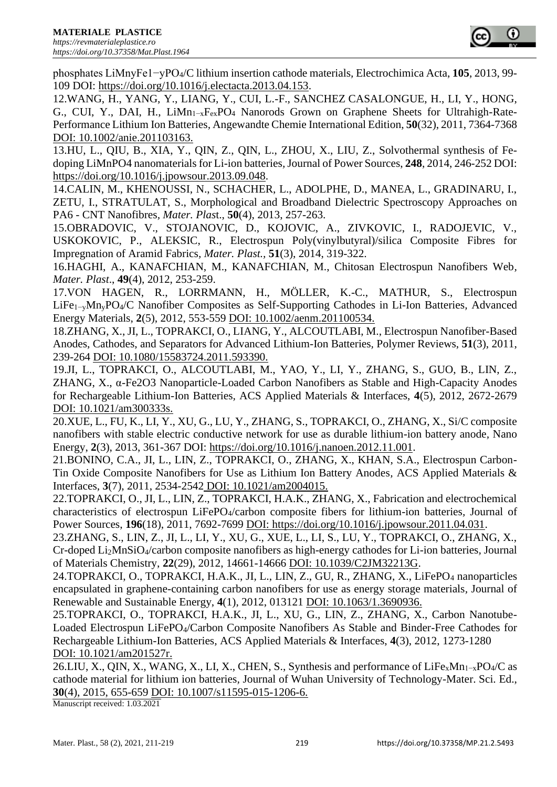

phosphates LiMnyFe1−yPO4/C lithium insertion cathode materials*,* Electrochimica Acta, **105**, 2013, 99- 109 DOI: [https://doi.org/10.1016/j.electacta.2013.04.153.](https://doi.org/10.1016/j.electacta.2013.04.153)

12.WANG, H., YANG, Y., LIANG, Y., CUI, L.-F., SANCHEZ CASALONGUE, H., LI, Y., HONG, G., CUI, Y., DAI, H., LiMn1−xFexPO<sup>4</sup> Nanorods Grown on Graphene Sheets for Ultrahigh-Rate-Performance Lithium Ion Batteries*,* Angewandte Chemie International Edition, **50**(32), 2011, 7364-7368 DOI: 10.1002/anie.201103163.

13.HU, L., QIU, B., XIA, Y., QIN, Z., QIN, L., ZHOU, X., LIU, Z., Solvothermal synthesis of Fedoping LiMnPO4 nanomaterials for Li-ion batteries*,*Journal of Power Sources, **248**, 2014, 246-252 DOI: [https://doi.org/10.1016/j.jpowsour.2013.09.048.](https://doi.org/10.1016/j.jpowsour.2013.09.048)

14.CALIN, M., KHENOUSSI, N., SCHACHER, L., ADOLPHE, D., MANEA, L., GRADINARU, I., ZETU, I., STRATULAT, S., Morphological and Broadband Dielectric Spectroscopy Approaches on PA6 - CNT Nanofibres*, Mater. Plas*t., **50**(4), 2013, 257-263.

15.OBRADOVIC, V., STOJANOVIC, D., KOJOVIC, A., ZIVKOVIC, I., RADOJEVIC, V., USKOKOVIC, P., ALEKSIC, R., Electrospun Poly(vinylbutyral)/silica Composite Fibres for Impregnation of Aramid Fabrics*, Mater. Plast.,* **51**(3), 2014, 319-322.

16.HAGHI, A., KANAFCHIAN, M., KANAFCHIAN, M., Chitosan Electrospun Nanofibers Web*, Mater. Plast*., **49**(4), 2012, 253-259.

17.VON HAGEN, R., LORRMANN, H., MÖLLER, K.-C., MATHUR, S., Electrospun LiFe1−yMnyPO4/C Nanofiber Composites as Self-Supporting Cathodes in Li-Ion Batteries*,* Advanced Energy Materials, **2**(5), 2012, 553-559 DOI: 10.1002/aenm.201100534.

18.ZHANG, X., JI, L., TOPRAKCI, O., LIANG, Y., ALCOUTLABI, M., Electrospun Nanofiber-Based Anodes, Cathodes, and Separators for Advanced Lithium-Ion Batteries*,* Polymer Reviews, **51**(3), 2011, 239-264 DOI: 10.1080/15583724.2011.593390.

19.JI, L., TOPRAKCI, O., ALCOUTLABI, M., YAO, Y., LI, Y., ZHANG, S., GUO, B., LIN, Z., ZHANG, X., α-Fe2O3 Nanoparticle-Loaded Carbon Nanofibers as Stable and High-Capacity Anodes for Rechargeable Lithium-Ion Batteries*,* ACS Applied Materials & Interfaces, **4**(5), 2012, 2672-2679 DOI: 10.1021/am300333s.

20.XUE, L., FU, K., LI, Y., XU, G., LU, Y., ZHANG, S., TOPRAKCI, O., ZHANG, X., Si/C composite nanofibers with stable electric conductive network for use as durable lithium-ion battery anode*,* Nano Energy, **2**(3), 2013, 361-367 DOI: [https://doi.org/10.1016/j.nanoen.2012.11.001.](https://doi.org/10.1016/j.nanoen.2012.11.001)

21.BONINO, C.A., JI, L., LIN, Z., TOPRAKCI, O., ZHANG, X., KHAN, S.A., Electrospun Carbon-Tin Oxide Composite Nanofibers for Use as Lithium Ion Battery Anodes*,* ACS Applied Materials & Interfaces, **3**(7), 2011, 2534-2542 DOI: 10.1021/am2004015.

22.TOPRAKCI, O., JI, L., LIN, Z., TOPRAKCI, H.A.K., ZHANG, X., Fabrication and electrochemical characteristics of electrospun LiFePO4/carbon composite fibers for lithium-ion batteries*,* Journal of Power Sources, **196**(18), 2011, 7692-7699 DOI: [https://doi.org/10.1016/j.jpowsour.2011.04.031.](https://doi.org/10.1016/j.jpowsour.2011.04.031)

23.ZHANG, S., LIN, Z., JI, L., LI, Y., XU, G., XUE, L., LI, S., LU, Y., TOPRAKCI, O., ZHANG, X., Cr-doped Li2MnSiO4/carbon composite nanofibers as high-energy cathodes for Li-ion batteries*,* Journal of Materials Chemistry, **22**(29), 2012, 14661-14666 DOI: 10.1039/C2JM32213G.

24.TOPRAKCI, O., TOPRAKCI, H.A.K., JI, L., LIN, Z., GU, R., ZHANG, X., LiFePO<sub>4</sub> nanoparticles encapsulated in graphene-containing carbon nanofibers for use as energy storage materials*,* Journal of Renewable and Sustainable Energy, **4**(1), 2012, 013121 DOI: 10.1063/1.3690936.

25.TOPRAKCI, O., TOPRAKCI, H.A.K., JI, L., XU, G., LIN, Z., ZHANG, X., Carbon Nanotube-Loaded Electrospun LiFePO4/Carbon Composite Nanofibers As Stable and Binder-Free Cathodes for Rechargeable Lithium-Ion Batteries*,* ACS Applied Materials & Interfaces, **4**(3), 2012, 1273-1280 DOI: 10.1021/am201527r.

26.LIU, X., QIN, X., WANG, X., LI, X., CHEN, S., Synthesis and performance of LiFe<sub>x</sub>Mn<sub>1-x</sub>PO<sub>4</sub>/C as cathode material for lithium ion batteries*,* Journal of Wuhan University of Technology-Mater. Sci. Ed., **30**(4), 2015, 655-659 DOI: 10.1007/s11595-015-1206-6.

Manuscript received: 1.03.2021